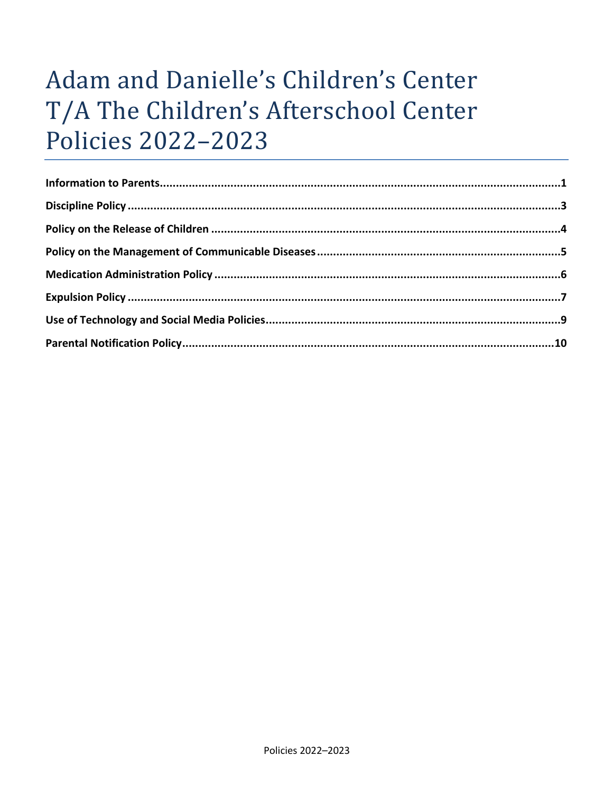# Adam and Danielle's Children's Center T/A The Children's Afterschool Center **Policies 2022-2023**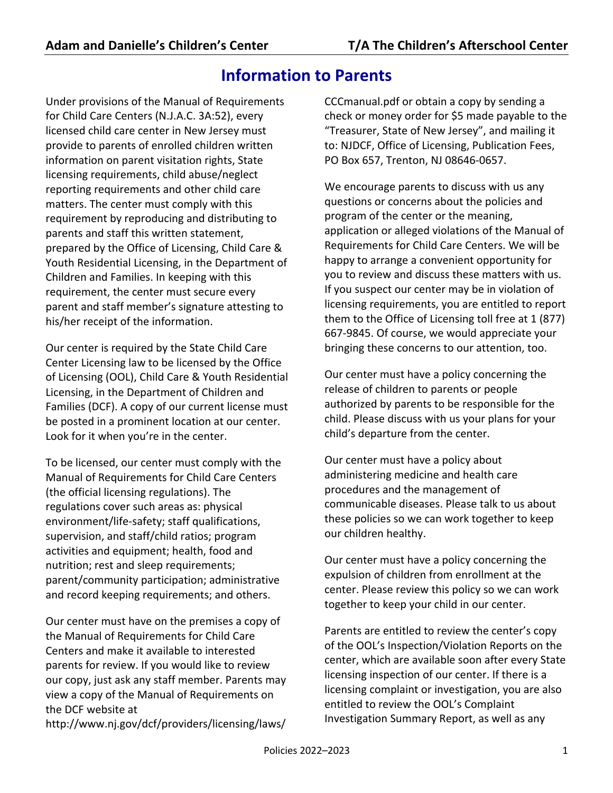# **Information to Parents**

Under provisions of the Manual of Requirements for Child Care Centers (N.J.A.C. 3A:52), every licensed child care center in New Jersey must provide to parents of enrolled children written information on parent visitation rights, State licensing requirements, child abuse/neglect reporting requirements and other child care matters. The center must comply with this requirement by reproducing and distributing to parents and staff this written statement, prepared by the Office of Licensing, Child Care & Youth Residential Licensing, in the Department of Children and Families. In keeping with this requirement, the center must secure every parent and staff member's signature attesting to his/her receipt of the information.

Our center is required by the State Child Care Center Licensing law to be licensed by the Office of Licensing (OOL), Child Care & Youth Residential Licensing, in the Department of Children and Families (DCF). A copy of our current license must be posted in a prominent location at our center. Look for it when you're in the center.

To be licensed, our center must comply with the Manual of Requirements for Child Care Centers (the official licensing regulations). The regulations cover such areas as: physical environment/life-safety; staff qualifications, supervision, and staff/child ratios; program activities and equipment; health, food and nutrition; rest and sleep requirements; parent/community participation; administrative and record keeping requirements; and others.

Our center must have on the premises a copy of the Manual of Requirements for Child Care Centers and make it available to interested parents for review. If you would like to review our copy, just ask any staff member. Parents may view a copy of the Manual of Requirements on the DCF website at http://www.nj.gov/dcf/providers/licensing/laws/ CCCmanual.pdf or obtain a copy by sending a check or money order for \$5 made payable to the "Treasurer, State of New Jersey", and mailing it to: NJDCF, Office of Licensing, Publication Fees, PO Box 657, Trenton, NJ 08646-0657.

We encourage parents to discuss with us any questions or concerns about the policies and program of the center or the meaning, application or alleged violations of the Manual of Requirements for Child Care Centers. We will be happy to arrange a convenient opportunity for you to review and discuss these matters with us. If you suspect our center may be in violation of licensing requirements, you are entitled to report them to the Office of Licensing toll free at 1 (877) 667-9845. Of course, we would appreciate your bringing these concerns to our attention, too.

Our center must have a policy concerning the release of children to parents or people authorized by parents to be responsible for the child. Please discuss with us your plans for your child's departure from the center.

Our center must have a policy about administering medicine and health care procedures and the management of communicable diseases. Please talk to us about these policies so we can work together to keep our children healthy.

Our center must have a policy concerning the expulsion of children from enrollment at the center. Please review this policy so we can work together to keep your child in our center.

Parents are entitled to review the center's copy of the OOL's Inspection/Violation Reports on the center, which are available soon after every State licensing inspection of our center. If there is a licensing complaint or investigation, you are also entitled to review the OOL's Complaint Investigation Summary Report, as well as any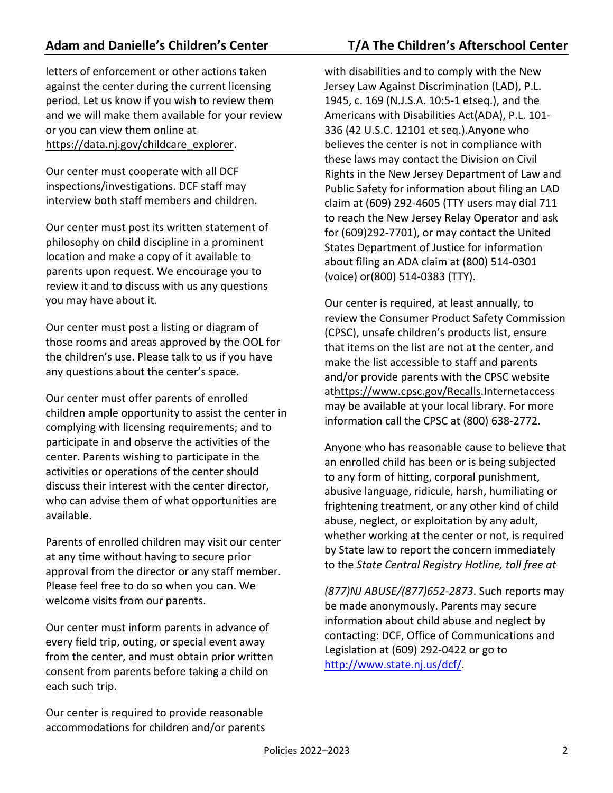letters of enforcement or other actions taken against the center during the current licensing period. Let us know if you wish to review them and we will make them available for your review or you can view them online at https://data.nj.gov/childcare\_explorer.

Our center must cooperate with all DCF inspections/investigations. DCF staff may interview both staff members and children.

Our center must post its written statement of philosophy on child discipline in a prominent location and make a copy of it available to parents upon request. We encourage you to review it and to discuss with us any questions you may have about it.

Our center must post a listing or diagram of those rooms and areas approved by the OOL for the children's use. Please talk to us if you have any questions about the center's space.

Our center must offer parents of enrolled children ample opportunity to assist the center in complying with licensing requirements; and to participate in and observe the activities of the center. Parents wishing to participate in the activities or operations of the center should discuss their interest with the center director, who can advise them of what opportunities are available.

Parents of enrolled children may visit our center at any time without having to secure prior approval from the director or any staff member. Please feel free to do so when you can. We welcome visits from our parents.

Our center must inform parents in advance of every field trip, outing, or special event away from the center, and must obtain prior written consent from parents before taking a child on each such trip.

Our center is required to provide reasonable accommodations for children and/or parents with disabilities and to comply with the New Jersey Law Against Discrimination (LAD), P.L. 1945, c. 169 (N.J.S.A. 10:5-1 etseq.), and the Americans with Disabilities Act(ADA), P.L. 101- 336 (42 U.S.C. 12101 et seq.).Anyone who believes the center is not in compliance with these laws may contact the Division on Civil Rights in the New Jersey Department of Law and Public Safety for information about filing an LAD claim at (609) 292-4605 (TTY users may dial 711 to reach the New Jersey Relay Operator and ask for (609)292-7701), or may contact the United States Department of Justice for information about filing an ADA claim at (800) 514-0301 (voice) or(800) 514-0383 (TTY).

Our center is required, at least annually, to review the Consumer Product Safety Commission (CPSC), unsafe children's products list, ensure that items on the list are not at the center, and make the list accessible to staff and parents and/or provide parents with the CPSC website athttps://www.cpsc.gov/Recalls.Internetaccess may be available at your local library. For more information call the CPSC at (800) 638-2772.

Anyone who has reasonable cause to believe that an enrolled child has been or is being subjected to any form of hitting, corporal punishment, abusive language, ridicule, harsh, humiliating or frightening treatment, or any other kind of child abuse, neglect, or exploitation by any adult, whether working at the center or not, is required by State law to report the concern immediately to the *State Central Registry Hotline, toll free at*

*(877)NJ ABUSE/(877)652-2873*. Such reports may be made anonymously. Parents may secure information about child abuse and neglect by contacting: DCF, Office of Communications and Legislation at (609) 292-0422 or go to http://www.state.nj.us/dcf/.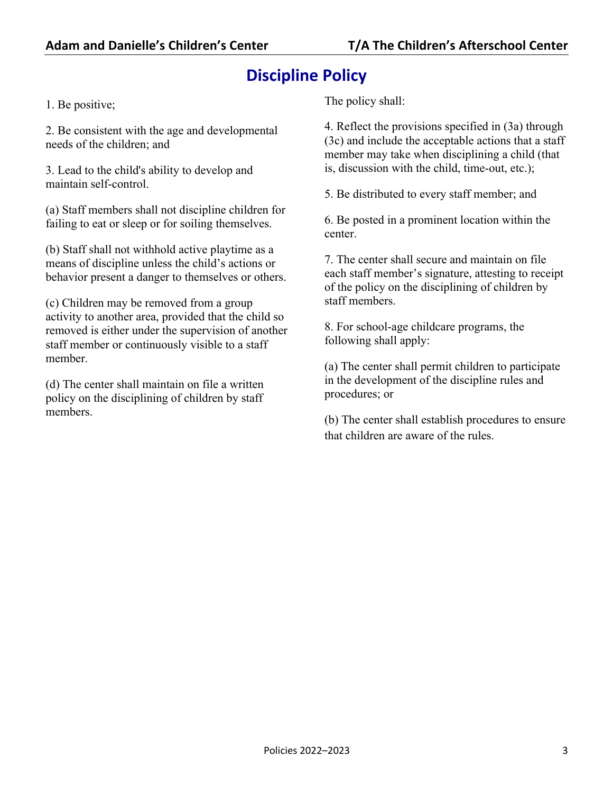# **Discipline Policy**

1. Be positive;

2. Be consistent with the age and developmental needs of the children; and

3. Lead to the child's ability to develop and maintain self-control.

(a) Staff members shall not discipline children for failing to eat or sleep or for soiling themselves.

(b) Staff shall not withhold active playtime as a means of discipline unless the child's actions or behavior present a danger to themselves or others.

(c) Children may be removed from a group activity to another area, provided that the child so removed is either under the supervision of another staff member or continuously visible to a staff member.

(d) The center shall maintain on file a written policy on the disciplining of children by staff members.

The policy shall:

4. Reflect the provisions specified in (3a) through (3c) and include the acceptable actions that a staff member may take when disciplining a child (that is, discussion with the child, time-out, etc.);

5. Be distributed to every staff member; and

6. Be posted in a prominent location within the center.

7. The center shall secure and maintain on file each staff member's signature, attesting to receipt of the policy on the disciplining of children by staff members.

8. For school-age childcare programs, the following shall apply:

(a) The center shall permit children to participate in the development of the discipline rules and procedures; or

(b) The center shall establish procedures to ensure that children are aware of the rules.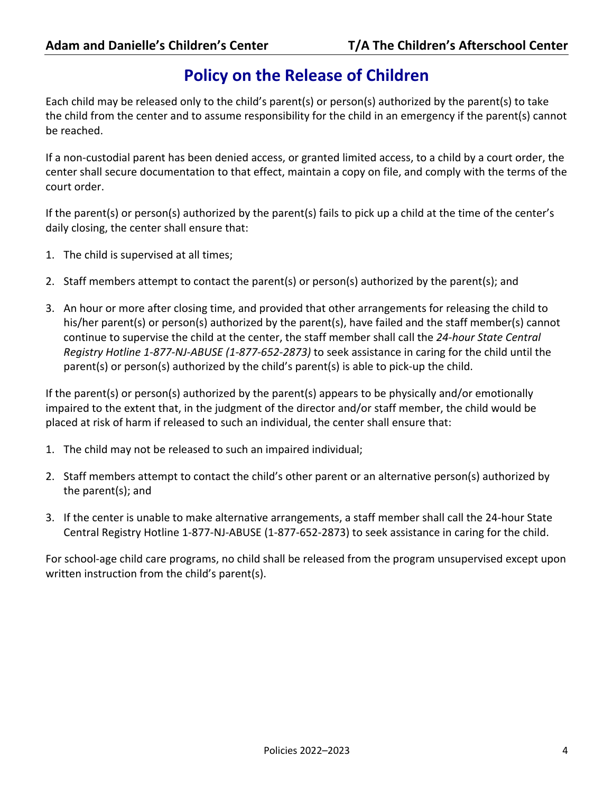### **Policy on the Release of Children**

Each child may be released only to the child's parent(s) or person(s) authorized by the parent(s) to take the child from the center and to assume responsibility for the child in an emergency if the parent(s) cannot be reached.

If a non-custodial parent has been denied access, or granted limited access, to a child by a court order, the center shall secure documentation to that effect, maintain a copy on file, and comply with the terms of the court order.

If the parent(s) or person(s) authorized by the parent(s) fails to pick up a child at the time of the center's daily closing, the center shall ensure that:

- 1. The child is supervised at all times;
- 2. Staff members attempt to contact the parent(s) or person(s) authorized by the parent(s); and
- 3. An hour or more after closing time, and provided that other arrangements for releasing the child to his/her parent(s) or person(s) authorized by the parent(s), have failed and the staff member(s) cannot continue to supervise the child at the center, the staff member shall call the *24-hour State Central Registry Hotline 1-877-NJ-ABUSE (1-877-652-2873)* to seek assistance in caring for the child until the parent(s) or person(s) authorized by the child's parent(s) is able to pick-up the child.

If the parent(s) or person(s) authorized by the parent(s) appears to be physically and/or emotionally impaired to the extent that, in the judgment of the director and/or staff member, the child would be placed at risk of harm if released to such an individual, the center shall ensure that:

- 1. The child may not be released to such an impaired individual;
- 2. Staff members attempt to contact the child's other parent or an alternative person(s) authorized by the parent(s); and
- 3. If the center is unable to make alternative arrangements, a staff member shall call the 24-hour State Central Registry Hotline 1-877-NJ-ABUSE (1-877-652-2873) to seek assistance in caring for the child.

For school-age child care programs, no child shall be released from the program unsupervised except upon written instruction from the child's parent(s).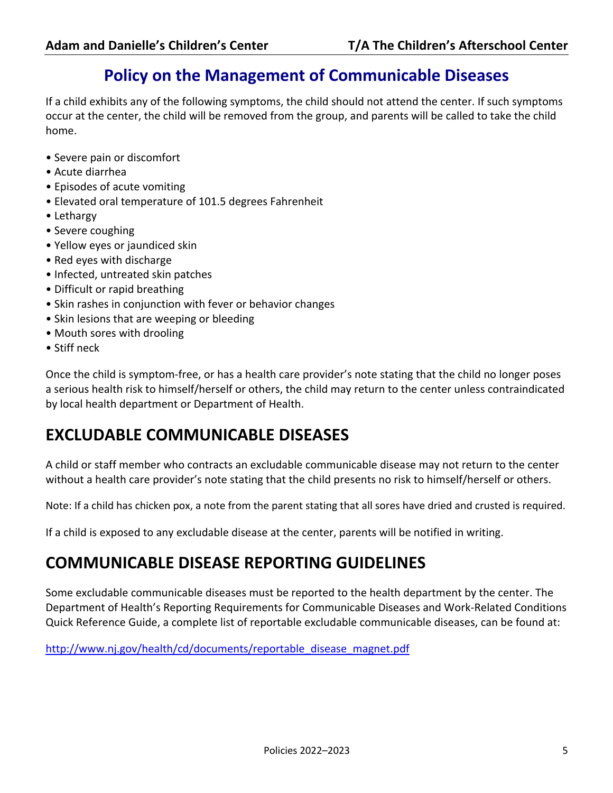### **Policy on the Management of Communicable Diseases**

If a child exhibits any of the following symptoms, the child should not attend the center. If such symptoms occur at the center, the child will be removed from the group, and parents will be called to take the child home.

- Severe pain or discomfort
- Acute diarrhea
- Episodes of acute vomiting
- Elevated oral temperature of 101.5 degrees Fahrenheit
- Lethargy
- Severe coughing
- Yellow eyes or jaundiced skin
- Red eyes with discharge
- Infected, untreated skin patches
- Difficult or rapid breathing
- Skin rashes in conjunction with fever or behavior changes
- Skin lesions that are weeping or bleeding
- Mouth sores with drooling
- Stiff neck

Once the child is symptom-free, or has a health care provider's note stating that the child no longer poses a serious health risk to himself/herself or others, the child may return to the center unless contraindicated by local health department or Department of Health.

# **EXCLUDABLE COMMUNICABLE DISEASES**

A child or staff member who contracts an excludable communicable disease may not return to the center without a health care provider's note stating that the child presents no risk to himself/herself or others.

Note: If a child has chicken pox, a note from the parent stating that all sores have dried and crusted is required.

If a child is exposed to any excludable disease at the center, parents will be notified in writing.

### **COMMUNICABLE DISEASE REPORTING GUIDELINES**

Some excludable communicable diseases must be reported to the health department by the center. The Department of Health's Reporting Requirements for Communicable Diseases and Work-Related Conditions Quick Reference Guide, a complete list of reportable excludable communicable diseases, can be found at:

http://www.nj.gov/health/cd/documents/reportable\_disease\_magnet.pdf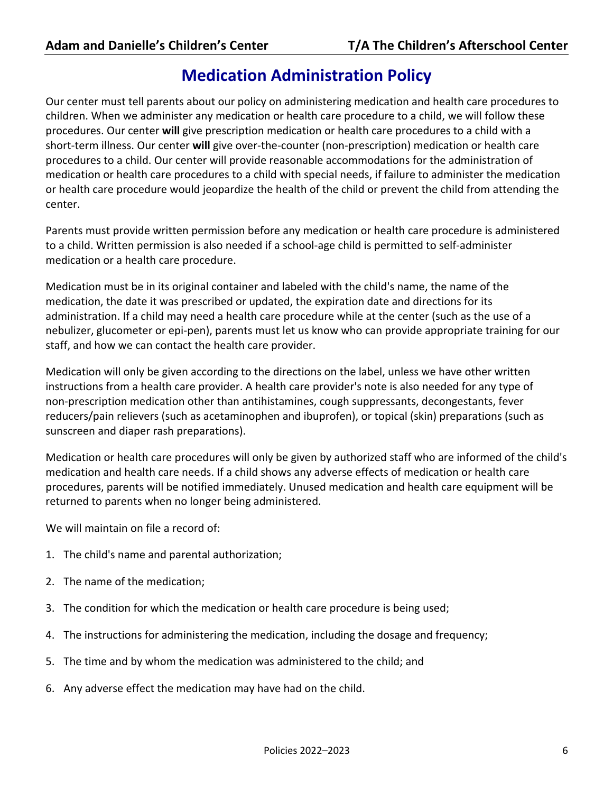# **Medication Administration Policy**

Our center must tell parents about our policy on administering medication and health care procedures to children. When we administer any medication or health care procedure to a child, we will follow these procedures. Our center **will** give prescription medication or health care procedures to a child with a short-term illness. Our center **will** give over-the-counter (non-prescription) medication or health care procedures to a child. Our center will provide reasonable accommodations for the administration of medication or health care procedures to a child with special needs, if failure to administer the medication or health care procedure would jeopardize the health of the child or prevent the child from attending the center.

Parents must provide written permission before any medication or health care procedure is administered to a child. Written permission is also needed if a school-age child is permitted to self-administer medication or a health care procedure.

Medication must be in its original container and labeled with the child's name, the name of the medication, the date it was prescribed or updated, the expiration date and directions for its administration. If a child may need a health care procedure while at the center (such as the use of a nebulizer, glucometer or epi-pen), parents must let us know who can provide appropriate training for our staff, and how we can contact the health care provider.

Medication will only be given according to the directions on the label, unless we have other written instructions from a health care provider. A health care provider's note is also needed for any type of non-prescription medication other than antihistamines, cough suppressants, decongestants, fever reducers/pain relievers (such as acetaminophen and ibuprofen), or topical (skin) preparations (such as sunscreen and diaper rash preparations).

Medication or health care procedures will only be given by authorized staff who are informed of the child's medication and health care needs. If a child shows any adverse effects of medication or health care procedures, parents will be notified immediately. Unused medication and health care equipment will be returned to parents when no longer being administered.

We will maintain on file a record of:

- 1. The child's name and parental authorization;
- 2. The name of the medication;
- 3. The condition for which the medication or health care procedure is being used;
- 4. The instructions for administering the medication, including the dosage and frequency;
- 5. The time and by whom the medication was administered to the child; and
- 6. Any adverse effect the medication may have had on the child.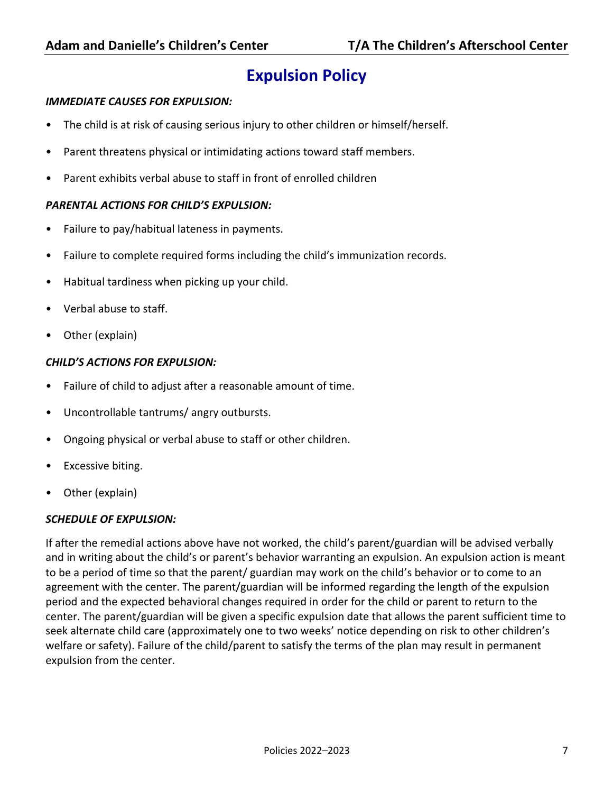# **Expulsion Policy**

#### *IMMEDIATE CAUSES FOR EXPULSION:*

- The child is at risk of causing serious injury to other children or himself/herself.
- Parent threatens physical or intimidating actions toward staff members.
- Parent exhibits verbal abuse to staff in front of enrolled children

#### *PARENTAL ACTIONS FOR CHILD'S EXPULSION:*

- Failure to pay/habitual lateness in payments.
- Failure to complete required forms including the child's immunization records.
- Habitual tardiness when picking up your child.
- Verbal abuse to staff.
- Other (explain)

#### *CHILD'S ACTIONS FOR EXPULSION:*

- Failure of child to adjust after a reasonable amount of time.
- Uncontrollable tantrums/ angry outbursts.
- Ongoing physical or verbal abuse to staff or other children.
- Excessive biting.
- Other (explain)

#### *SCHEDULE OF EXPULSION:*

If after the remedial actions above have not worked, the child's parent/guardian will be advised verbally and in writing about the child's or parent's behavior warranting an expulsion. An expulsion action is meant to be a period of time so that the parent/ guardian may work on the child's behavior or to come to an agreement with the center. The parent/guardian will be informed regarding the length of the expulsion period and the expected behavioral changes required in order for the child or parent to return to the center. The parent/guardian will be given a specific expulsion date that allows the parent sufficient time to seek alternate child care (approximately one to two weeks' notice depending on risk to other children's welfare or safety). Failure of the child/parent to satisfy the terms of the plan may result in permanent expulsion from the center.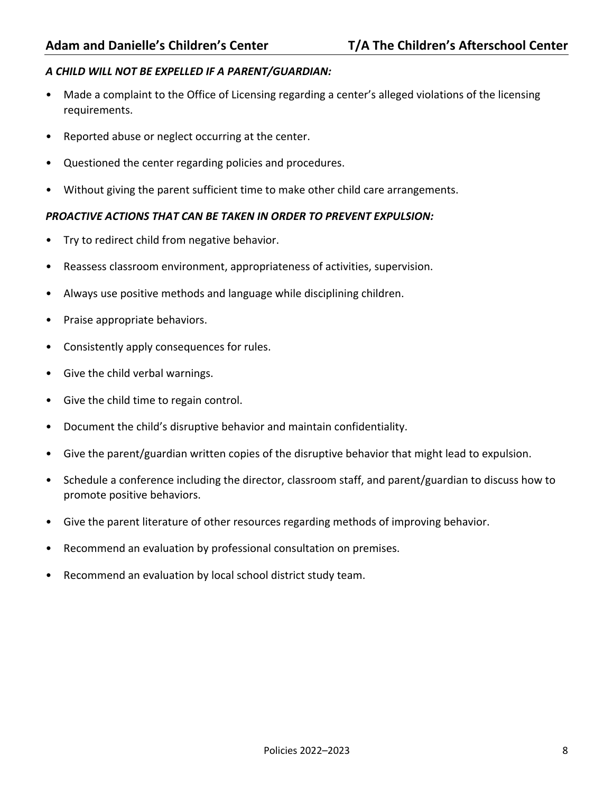#### *A CHILD WILL NOT BE EXPELLED IF A PARENT/GUARDIAN:*

- Made a complaint to the Office of Licensing regarding a center's alleged violations of the licensing requirements.
- Reported abuse or neglect occurring at the center.
- Questioned the center regarding policies and procedures.
- Without giving the parent sufficient time to make other child care arrangements.

#### *PROACTIVE ACTIONS THAT CAN BE TAKEN IN ORDER TO PREVENT EXPULSION:*

- Try to redirect child from negative behavior.
- Reassess classroom environment, appropriateness of activities, supervision.
- Always use positive methods and language while disciplining children.
- Praise appropriate behaviors.
- Consistently apply consequences for rules.
- Give the child verbal warnings.
- Give the child time to regain control.
- Document the child's disruptive behavior and maintain confidentiality.
- Give the parent/guardian written copies of the disruptive behavior that might lead to expulsion.
- Schedule a conference including the director, classroom staff, and parent/guardian to discuss how to promote positive behaviors.
- Give the parent literature of other resources regarding methods of improving behavior.
- Recommend an evaluation by professional consultation on premises.
- Recommend an evaluation by local school district study team.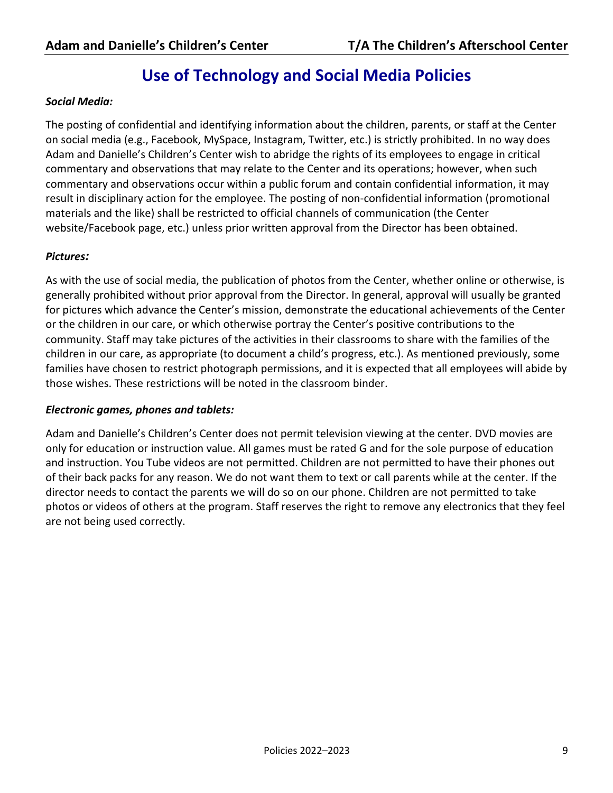### **Use of Technology and Social Media Policies**

#### *Social Media:*

The posting of confidential and identifying information about the children, parents, or staff at the Center on social media (e.g., Facebook, MySpace, Instagram, Twitter, etc.) is strictly prohibited. In no way does Adam and Danielle's Children's Center wish to abridge the rights of its employees to engage in critical commentary and observations that may relate to the Center and its operations; however, when such commentary and observations occur within a public forum and contain confidential information, it may result in disciplinary action for the employee. The posting of non-confidential information (promotional materials and the like) shall be restricted to official channels of communication (the Center website/Facebook page, etc.) unless prior written approval from the Director has been obtained.

#### *Pictures:*

As with the use of social media, the publication of photos from the Center, whether online or otherwise, is generally prohibited without prior approval from the Director. In general, approval will usually be granted for pictures which advance the Center's mission, demonstrate the educational achievements of the Center or the children in our care, or which otherwise portray the Center's positive contributions to the community. Staff may take pictures of the activities in their classrooms to share with the families of the children in our care, as appropriate (to document a child's progress, etc.). As mentioned previously, some families have chosen to restrict photograph permissions, and it is expected that all employees will abide by those wishes. These restrictions will be noted in the classroom binder.

#### *Electronic games, phones and tablets:*

Adam and Danielle's Children's Center does not permit television viewing at the center. DVD movies are only for education or instruction value. All games must be rated G and for the sole purpose of education and instruction. You Tube videos are not permitted. Children are not permitted to have their phones out of their back packs for any reason. We do not want them to text or call parents while at the center. If the director needs to contact the parents we will do so on our phone. Children are not permitted to take photos or videos of others at the program. Staff reserves the right to remove any electronics that they feel are not being used correctly.